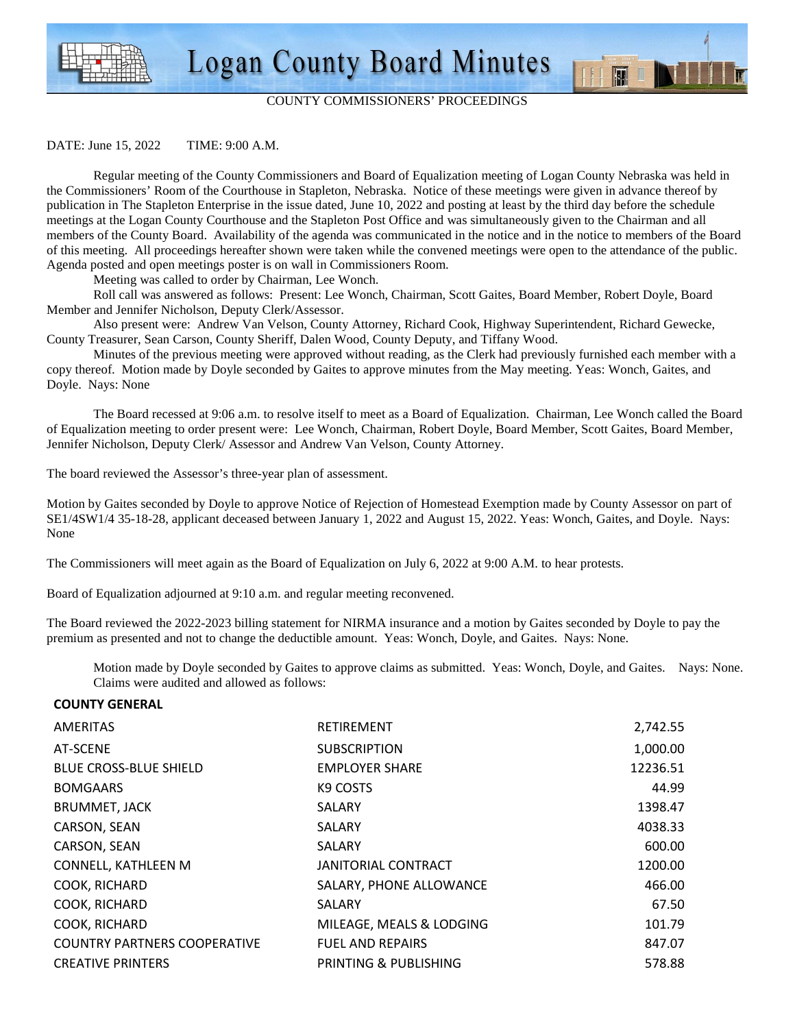



图 1

DATE: June 15, 2022 TIME: 9:00 A.M.

 Regular meeting of the County Commissioners and Board of Equalization meeting of Logan County Nebraska was held in the Commissioners' Room of the Courthouse in Stapleton, Nebraska. Notice of these meetings were given in advance thereof by publication in The Stapleton Enterprise in the issue dated, June 10, 2022 and posting at least by the third day before the schedule meetings at the Logan County Courthouse and the Stapleton Post Office and was simultaneously given to the Chairman and all members of the County Board. Availability of the agenda was communicated in the notice and in the notice to members of the Board of this meeting. All proceedings hereafter shown were taken while the convened meetings were open to the attendance of the public. Agenda posted and open meetings poster is on wall in Commissioners Room.

Meeting was called to order by Chairman, Lee Wonch.

 Roll call was answered as follows: Present: Lee Wonch, Chairman, Scott Gaites, Board Member, Robert Doyle, Board Member and Jennifer Nicholson, Deputy Clerk/Assessor.

 Also present were: Andrew Van Velson, County Attorney, Richard Cook, Highway Superintendent, Richard Gewecke, County Treasurer, Sean Carson, County Sheriff, Dalen Wood, County Deputy, and Tiffany Wood.

 Minutes of the previous meeting were approved without reading, as the Clerk had previously furnished each member with a copy thereof. Motion made by Doyle seconded by Gaites to approve minutes from the May meeting. Yeas: Wonch, Gaites, and Doyle. Nays: None

 The Board recessed at 9:06 a.m. to resolve itself to meet as a Board of Equalization. Chairman, Lee Wonch called the Board of Equalization meeting to order present were: Lee Wonch, Chairman, Robert Doyle, Board Member, Scott Gaites, Board Member, Jennifer Nicholson, Deputy Clerk/ Assessor and Andrew Van Velson, County Attorney.

The board reviewed the Assessor's three-year plan of assessment.

Motion by Gaites seconded by Doyle to approve Notice of Rejection of Homestead Exemption made by County Assessor on part of SE1/4SW1/4 35-18-28, applicant deceased between January 1, 2022 and August 15, 2022. Yeas: Wonch, Gaites, and Doyle. Nays: None

The Commissioners will meet again as the Board of Equalization on July 6, 2022 at 9:00 A.M. to hear protests.

Board of Equalization adjourned at 9:10 a.m. and regular meeting reconvened.

The Board reviewed the 2022-2023 billing statement for NIRMA insurance and a motion by Gaites seconded by Doyle to pay the premium as presented and not to change the deductible amount. Yeas: Wonch, Doyle, and Gaites. Nays: None.

Motion made by Doyle seconded by Gaites to approve claims as submitted. Yeas: Wonch, Doyle, and Gaites. Nays: None. Claims were audited and allowed as follows:

## **COUNTY GENERAL**

| AMERITAS                            | RETIREMENT                 | 2,742.55 |
|-------------------------------------|----------------------------|----------|
| AT-SCENE                            | <b>SUBSCRIPTION</b>        | 1,000.00 |
| <b>BLUE CROSS-BLUE SHIELD</b>       | <b>EMPLOYER SHARE</b>      | 12236.51 |
| <b>BOMGAARS</b>                     | K9 COSTS                   | 44.99    |
| <b>BRUMMET, JACK</b>                | <b>SALARY</b>              | 1398.47  |
| CARSON, SEAN                        | <b>SALARY</b>              | 4038.33  |
| CARSON, SEAN                        | SALARY                     | 600.00   |
| CONNELL, KATHLEEN M                 | <b>JANITORIAL CONTRACT</b> | 1200.00  |
| COOK, RICHARD                       | SALARY, PHONE ALLOWANCE    | 466.00   |
| COOK, RICHARD                       | SALARY                     | 67.50    |
| COOK, RICHARD                       | MILEAGE, MEALS & LODGING   | 101.79   |
| <b>COUNTRY PARTNERS COOPERATIVE</b> | <b>FUEL AND REPAIRS</b>    | 847.07   |
| <b>CREATIVE PRINTERS</b>            | PRINTING & PUBLISHING      | 578.88   |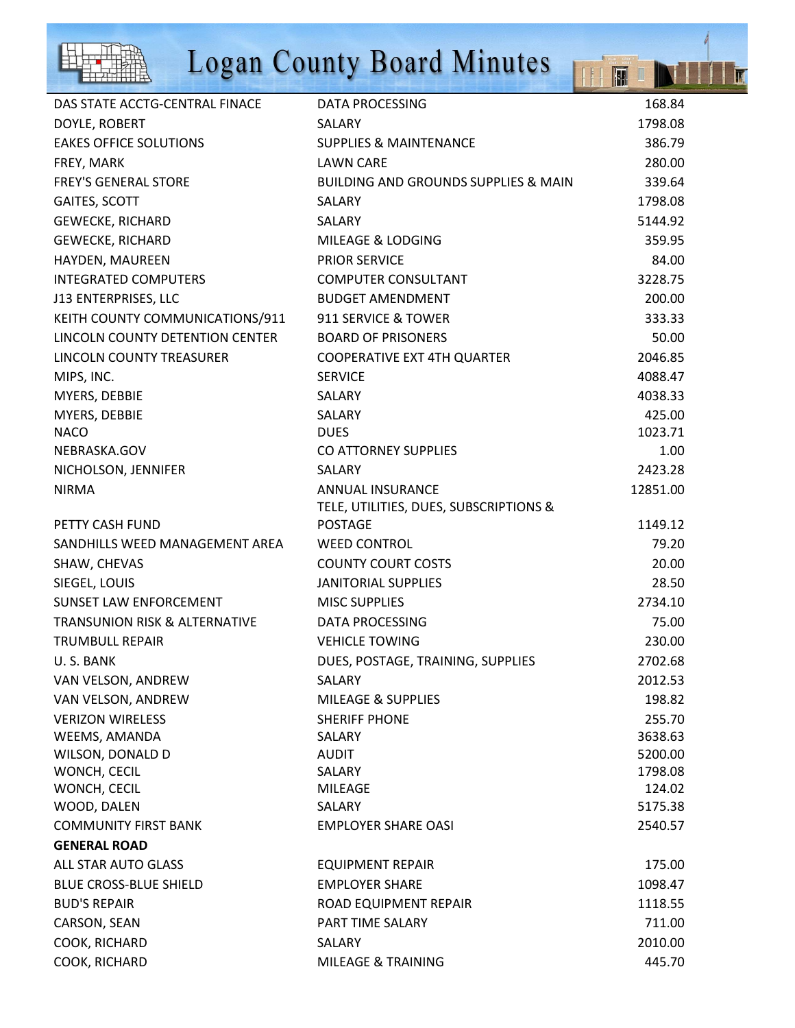

## Logan County Board Minutes

|                                          | <b>Logan County Board Minutes</b>               | H        |
|------------------------------------------|-------------------------------------------------|----------|
| DAS STATE ACCTG-CENTRAL FINACE           | <b>DATA PROCESSING</b>                          | 168.84   |
| DOYLE, ROBERT                            | SALARY                                          | 1798.08  |
| <b>EAKES OFFICE SOLUTIONS</b>            | <b>SUPPLIES &amp; MAINTENANCE</b>               | 386.79   |
| FREY, MARK                               | <b>LAWN CARE</b>                                | 280.00   |
| <b>FREY'S GENERAL STORE</b>              | <b>BUILDING AND GROUNDS SUPPLIES &amp; MAIN</b> | 339.64   |
| GAITES, SCOTT                            | SALARY                                          | 1798.08  |
| <b>GEWECKE, RICHARD</b>                  | SALARY                                          | 5144.92  |
| <b>GEWECKE, RICHARD</b>                  | <b>MILEAGE &amp; LODGING</b>                    | 359.95   |
| HAYDEN, MAUREEN                          | <b>PRIOR SERVICE</b>                            | 84.00    |
| <b>INTEGRATED COMPUTERS</b>              | <b>COMPUTER CONSULTANT</b>                      | 3228.75  |
| J13 ENTERPRISES, LLC                     | <b>BUDGET AMENDMENT</b>                         | 200.00   |
| KEITH COUNTY COMMUNICATIONS/911          | 911 SERVICE & TOWER                             | 333.33   |
| LINCOLN COUNTY DETENTION CENTER          | <b>BOARD OF PRISONERS</b>                       | 50.00    |
| LINCOLN COUNTY TREASURER                 | <b>COOPERATIVE EXT 4TH QUARTER</b>              | 2046.85  |
| MIPS, INC.                               | <b>SERVICE</b>                                  | 4088.47  |
| MYERS, DEBBIE                            | SALARY                                          | 4038.33  |
| MYERS, DEBBIE                            | SALARY                                          | 425.00   |
| <b>NACO</b>                              | <b>DUES</b>                                     | 1023.71  |
| NEBRASKA.GOV                             | CO ATTORNEY SUPPLIES                            | 1.00     |
| NICHOLSON, JENNIFER                      | SALARY                                          | 2423.28  |
| <b>NIRMA</b>                             | ANNUAL INSURANCE                                | 12851.00 |
|                                          | TELE, UTILITIES, DUES, SUBSCRIPTIONS &          |          |
| PETTY CASH FUND                          | <b>POSTAGE</b>                                  | 1149.12  |
| SANDHILLS WEED MANAGEMENT AREA           | <b>WEED CONTROL</b>                             | 79.20    |
| SHAW, CHEVAS                             | <b>COUNTY COURT COSTS</b>                       | 20.00    |
| SIEGEL, LOUIS                            | <b>JANITORIAL SUPPLIES</b>                      | 28.50    |
| <b>SUNSET LAW ENFORCEMENT</b>            | <b>MISC SUPPLIES</b>                            | 2734.10  |
| <b>TRANSUNION RISK &amp; ALTERNATIVE</b> | <b>DATA PROCESSING</b>                          | 75.00    |
| <b>TRUMBULL REPAIR</b>                   | <b>VEHICLE TOWING</b>                           | 230.00   |
| U.S. BANK                                | DUES, POSTAGE, TRAINING, SUPPLIES               | 2702.68  |
| VAN VELSON, ANDREW                       | SALARY                                          | 2012.53  |
| VAN VELSON, ANDREW                       | <b>MILEAGE &amp; SUPPLIES</b>                   | 198.82   |
| <b>VERIZON WIRELESS</b>                  | <b>SHERIFF PHONE</b>                            | 255.70   |
| WEEMS, AMANDA                            | SALARY                                          | 3638.63  |
| WILSON, DONALD D                         | AUDIT                                           | 5200.00  |
| WONCH, CECIL                             | SALARY                                          | 1798.08  |
| WONCH, CECIL                             | <b>MILEAGE</b>                                  | 124.02   |
| WOOD, DALEN                              | SALARY                                          | 5175.38  |
| <b>COMMUNITY FIRST BANK</b>              | <b>EMPLOYER SHARE OASI</b>                      | 2540.57  |
| <b>GENERAL ROAD</b>                      |                                                 |          |
| ALL STAR AUTO GLASS                      | <b>EQUIPMENT REPAIR</b>                         | 175.00   |
| <b>BLUE CROSS-BLUE SHIELD</b>            | <b>EMPLOYER SHARE</b>                           | 1098.47  |
| <b>BUD'S REPAIR</b>                      | ROAD EQUIPMENT REPAIR                           | 1118.55  |
| CARSON, SEAN                             | PART TIME SALARY                                | 711.00   |
| COOK, RICHARD                            | SALARY                                          | 2010.00  |
| COOK, RICHARD                            | MILEAGE & TRAINING                              | 445.70   |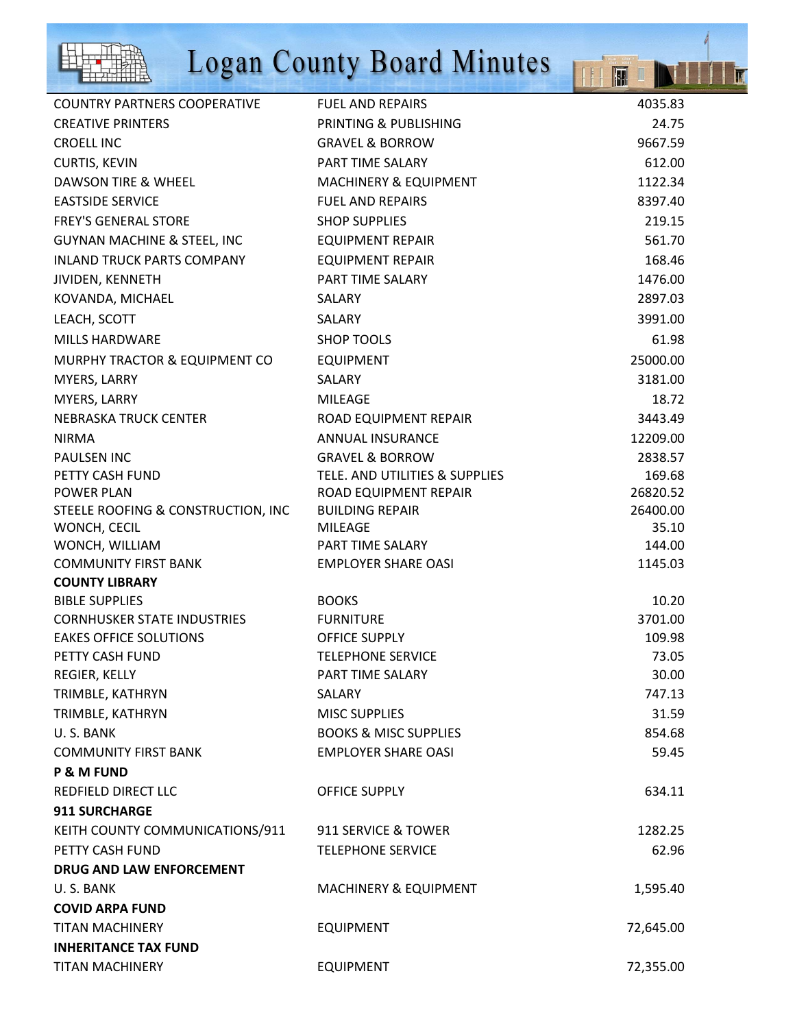

## Logan County Board Minutes

THE

T

| COUNTRY PARTNERS COOPERATIVE           | <b>FUEL AND REPAIRS</b>          | 4035.83   |
|----------------------------------------|----------------------------------|-----------|
| <b>CREATIVE PRINTERS</b>               | PRINTING & PUBLISHING            | 24.75     |
| <b>CROELL INC</b>                      | <b>GRAVEL &amp; BORROW</b>       | 9667.59   |
| <b>CURTIS, KEVIN</b>                   | PART TIME SALARY                 | 612.00    |
| DAWSON TIRE & WHEEL                    | <b>MACHINERY &amp; EQUIPMENT</b> | 1122.34   |
| <b>EASTSIDE SERVICE</b>                | <b>FUEL AND REPAIRS</b>          | 8397.40   |
| <b>FREY'S GENERAL STORE</b>            | <b>SHOP SUPPLIES</b>             | 219.15    |
| <b>GUYNAN MACHINE &amp; STEEL, INC</b> | <b>EQUIPMENT REPAIR</b>          | 561.70    |
| <b>INLAND TRUCK PARTS COMPANY</b>      | <b>EQUIPMENT REPAIR</b>          | 168.46    |
| JIVIDEN, KENNETH                       | PART TIME SALARY                 | 1476.00   |
| KOVANDA, MICHAEL                       | <b>SALARY</b>                    | 2897.03   |
| LEACH, SCOTT                           | SALARY                           | 3991.00   |
| <b>MILLS HARDWARE</b>                  | <b>SHOP TOOLS</b>                | 61.98     |
| MURPHY TRACTOR & EQUIPMENT CO          | <b>EQUIPMENT</b>                 | 25000.00  |
| MYERS, LARRY                           | <b>SALARY</b>                    | 3181.00   |
| MYERS, LARRY                           | <b>MILEAGE</b>                   | 18.72     |
| <b>NEBRASKA TRUCK CENTER</b>           | ROAD EQUIPMENT REPAIR            | 3443.49   |
| <b>NIRMA</b>                           | <b>ANNUAL INSURANCE</b>          | 12209.00  |
| <b>PAULSEN INC</b>                     | <b>GRAVEL &amp; BORROW</b>       | 2838.57   |
| PETTY CASH FUND                        | TELE. AND UTILITIES & SUPPLIES   | 169.68    |
| <b>POWER PLAN</b>                      | ROAD EQUIPMENT REPAIR            | 26820.52  |
| STEELE ROOFING & CONSTRUCTION, INC     | <b>BUILDING REPAIR</b>           | 26400.00  |
| WONCH, CECIL                           | <b>MILEAGE</b>                   | 35.10     |
| WONCH, WILLIAM                         | PART TIME SALARY                 | 144.00    |
| <b>COMMUNITY FIRST BANK</b>            | <b>EMPLOYER SHARE OASI</b>       | 1145.03   |
| <b>COUNTY LIBRARY</b>                  |                                  |           |
| <b>BIBLE SUPPLIES</b>                  | <b>BOOKS</b>                     | 10.20     |
| <b>CORNHUSKER STATE INDUSTRIES</b>     | <b>FURNITURE</b>                 | 3701.00   |
| <b>EAKES OFFICE SOLUTIONS</b>          | <b>OFFICE SUPPLY</b>             | 109.98    |
| PETTY CASH FUND                        | <b>TELEPHONE SERVICE</b>         | 73.05     |
| REGIER, KELLY                          | PART TIME SALARY                 | 30.00     |
| TRIMBLE, KATHRYN                       | <b>SALARY</b>                    | 747.13    |
| TRIMBLE, KATHRYN                       | <b>MISC SUPPLIES</b>             | 31.59     |
| U.S. BANK                              | <b>BOOKS &amp; MISC SUPPLIES</b> | 854.68    |
| <b>COMMUNITY FIRST BANK</b>            | <b>EMPLOYER SHARE OASI</b>       | 59.45     |
| <b>P &amp; M FUND</b>                  |                                  |           |
| REDFIELD DIRECT LLC                    | <b>OFFICE SUPPLY</b>             | 634.11    |
| <b>911 SURCHARGE</b>                   |                                  |           |
| KEITH COUNTY COMMUNICATIONS/911        | 911 SERVICE & TOWER              | 1282.25   |
| PETTY CASH FUND                        | <b>TELEPHONE SERVICE</b>         | 62.96     |
| DRUG AND LAW ENFORCEMENT               |                                  |           |
| U.S. BANK                              | <b>MACHINERY &amp; EQUIPMENT</b> | 1,595.40  |
| <b>COVID ARPA FUND</b>                 |                                  |           |
| <b>TITAN MACHINERY</b>                 | <b>EQUIPMENT</b>                 | 72,645.00 |
| <b>INHERITANCE TAX FUND</b>            |                                  |           |
| <b>TITAN MACHINERY</b>                 | <b>EQUIPMENT</b>                 | 72,355.00 |
|                                        |                                  |           |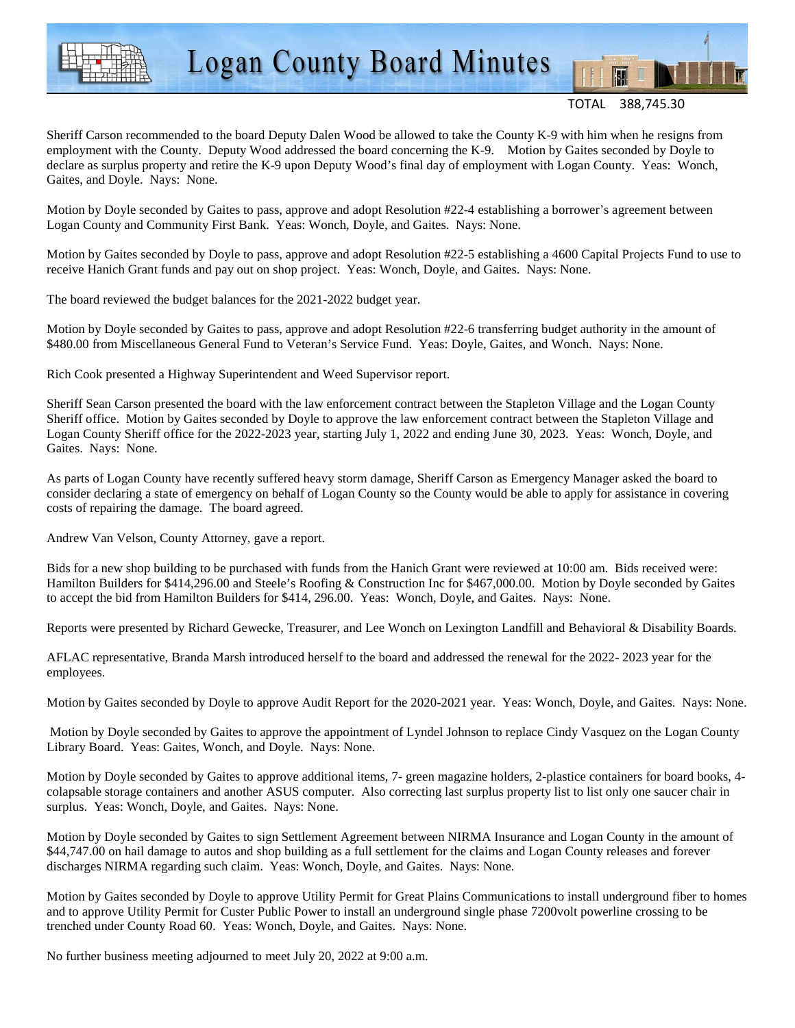

**Logan County Board Minutes** 

TOTAL 388,745.30

Sheriff Carson recommended to the board Deputy Dalen Wood be allowed to take the County K-9 with him when he resigns from employment with the County. Deputy Wood addressed the board concerning the K-9. Motion by Gaites seconded by Doyle to declare as surplus property and retire the K-9 upon Deputy Wood's final day of employment with Logan County. Yeas: Wonch, Gaites, and Doyle. Nays: None.

Motion by Doyle seconded by Gaites to pass, approve and adopt Resolution #22-4 establishing a borrower's agreement between Logan County and Community First Bank. Yeas: Wonch, Doyle, and Gaites. Nays: None.

Motion by Gaites seconded by Doyle to pass, approve and adopt Resolution #22-5 establishing a 4600 Capital Projects Fund to use to receive Hanich Grant funds and pay out on shop project. Yeas: Wonch, Doyle, and Gaites. Nays: None.

The board reviewed the budget balances for the 2021-2022 budget year.

Motion by Doyle seconded by Gaites to pass, approve and adopt Resolution #22-6 transferring budget authority in the amount of \$480.00 from Miscellaneous General Fund to Veteran's Service Fund. Yeas: Doyle, Gaites, and Wonch. Nays: None.

Rich Cook presented a Highway Superintendent and Weed Supervisor report.

Sheriff Sean Carson presented the board with the law enforcement contract between the Stapleton Village and the Logan County Sheriff office. Motion by Gaites seconded by Doyle to approve the law enforcement contract between the Stapleton Village and Logan County Sheriff office for the 2022-2023 year, starting July 1, 2022 and ending June 30, 2023. Yeas: Wonch, Doyle, and Gaites. Nays: None.

As parts of Logan County have recently suffered heavy storm damage, Sheriff Carson as Emergency Manager asked the board to consider declaring a state of emergency on behalf of Logan County so the County would be able to apply for assistance in covering costs of repairing the damage. The board agreed.

Andrew Van Velson, County Attorney, gave a report.

Bids for a new shop building to be purchased with funds from the Hanich Grant were reviewed at 10:00 am. Bids received were: Hamilton Builders for \$414,296.00 and Steele's Roofing & Construction Inc for \$467,000.00. Motion by Doyle seconded by Gaites to accept the bid from Hamilton Builders for \$414, 296.00. Yeas: Wonch, Doyle, and Gaites. Nays: None.

Reports were presented by Richard Gewecke, Treasurer, and Lee Wonch on Lexington Landfill and Behavioral & Disability Boards.

AFLAC representative, Branda Marsh introduced herself to the board and addressed the renewal for the 2022- 2023 year for the employees.

Motion by Gaites seconded by Doyle to approve Audit Report for the 2020-2021 year. Yeas: Wonch, Doyle, and Gaites. Nays: None.

 Motion by Doyle seconded by Gaites to approve the appointment of Lyndel Johnson to replace Cindy Vasquez on the Logan County Library Board. Yeas: Gaites, Wonch, and Doyle. Nays: None.

Motion by Doyle seconded by Gaites to approve additional items, 7- green magazine holders, 2-plastice containers for board books, 4 colapsable storage containers and another ASUS computer. Also correcting last surplus property list to list only one saucer chair in surplus. Yeas: Wonch, Doyle, and Gaites. Nays: None.

Motion by Doyle seconded by Gaites to sign Settlement Agreement between NIRMA Insurance and Logan County in the amount of \$44,747.00 on hail damage to autos and shop building as a full settlement for the claims and Logan County releases and forever discharges NIRMA regarding such claim. Yeas: Wonch, Doyle, and Gaites. Nays: None.

Motion by Gaites seconded by Doyle to approve Utility Permit for Great Plains Communications to install underground fiber to homes and to approve Utility Permit for Custer Public Power to install an underground single phase 7200volt powerline crossing to be trenched under County Road 60. Yeas: Wonch, Doyle, and Gaites. Nays: None.

No further business meeting adjourned to meet July 20, 2022 at 9:00 a.m.